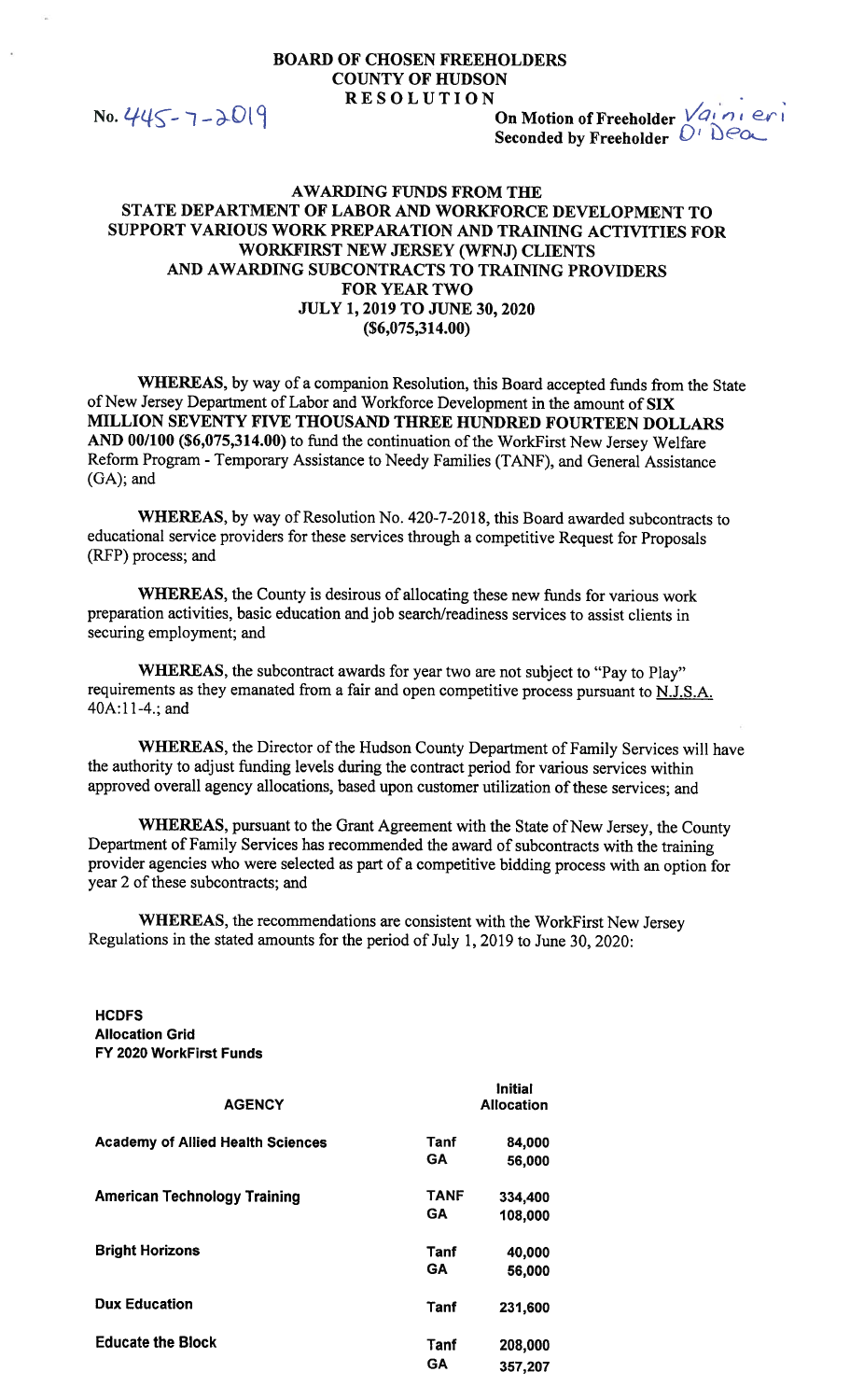## **BOARD OF CHOSEN FREEHOLDERS COUNTY OF HUDSON RESOLUTION**

No. 445 - 7 - 2019

On Motion of Freeholder Vaineri Seconded by Freeholder  $D^T \triangle C$ 

## **AWARDING FUNDS FROM THE** STATE DEPARTMENT OF LABOR AND WORKFORCE DEVELOPMENT TO SUPPORT VARIOUS WORK PREPARATION AND TRAINING ACTIVITIES FOR **WORKFIRST NEW JERSEY (WFNJ) CLIENTS** AND AWARDING SUBCONTRACTS TO TRAINING PROVIDERS **FOR YEAR TWO JULY 1, 2019 TO JUNE 30, 2020**  $(S6,075,314.00)$

WHEREAS, by way of a companion Resolution, this Board accepted funds from the State of New Jersey Department of Labor and Workforce Development in the amount of SIX MILLION SEVENTY FIVE THOUSAND THREE HUNDRED FOURTEEN DOLLARS AND 00/100 (\$6,075,314.00) to fund the continuation of the WorkFirst New Jersey Welfare Reform Program - Temporary Assistance to Needy Families (TANF), and General Assistance (GA); and

WHEREAS, by way of Resolution No. 420-7-2018, this Board awarded subcontracts to educational service providers for these services through a competitive Request for Proposals (RFP) process; and

WHEREAS, the County is desirous of allocating these new funds for various work preparation activities, basic education and job search/readiness services to assist clients in securing employment; and

WHEREAS, the subcontract awards for year two are not subject to "Pay to Play" requirements as they emanated from a fair and open competitive process pursuant to N.J.S.A. 40A:11-4.; and

WHEREAS, the Director of the Hudson County Department of Family Services will have the authority to adjust funding levels during the contract period for various services within approved overall agency allocations, based upon customer utilization of these services; and

**WHEREAS**, pursuant to the Grant Agreement with the State of New Jersey, the County Department of Family Services has recommended the award of subcontracts with the training provider agencies who were selected as part of a competitive bidding process with an option for year 2 of these subcontracts; and

WHEREAS, the recommendations are consistent with the WorkFirst New Jersey Regulations in the stated amounts for the period of July 1, 2019 to June 30, 2020:

**HCDFS Allocation Grid** FY 2020 WorkFirst Funds

| <b>AGENCY</b>                            |                          | <b>Initial</b><br><b>Allocation</b> |  |
|------------------------------------------|--------------------------|-------------------------------------|--|
| <b>Academy of Allied Health Sciences</b> | Tanf<br><b>GA</b>        | 84,000<br>56,000                    |  |
| <b>American Technology Training</b>      | <b>TANF</b><br><b>GA</b> | 334,400<br>108,000                  |  |
| <b>Bright Horizons</b>                   | <b>Tanf</b><br>GΑ        | 40,000<br>56,000                    |  |
| <b>Dux Education</b>                     | Tanf                     | 231,600                             |  |
| <b>Educate the Block</b>                 | Tanf<br><b>GA</b>        | 208,000<br>357,207                  |  |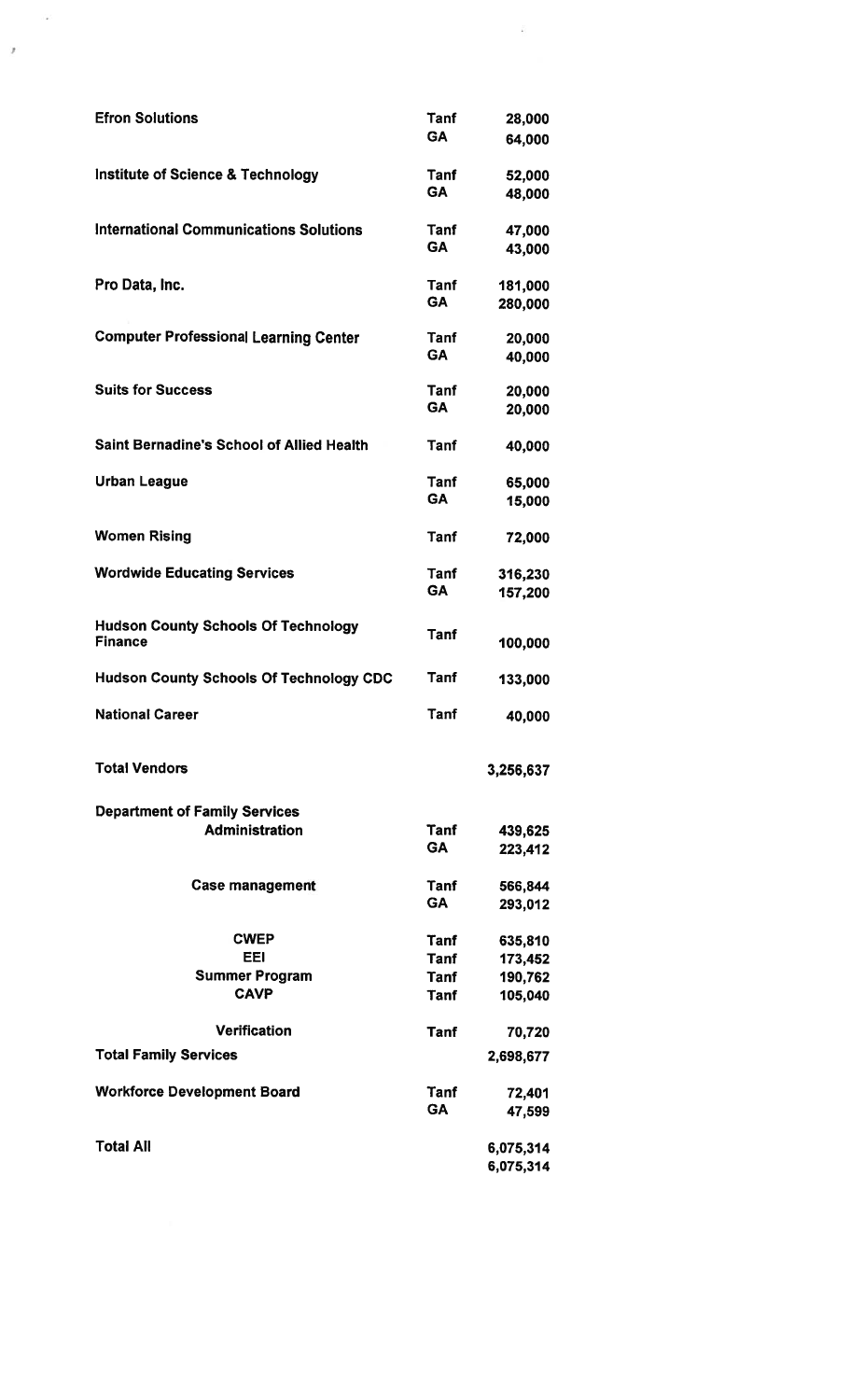| <b>Efron Solutions</b>                                       | Tanf<br>GA               | 28,000<br>64,000   |  |  |  |
|--------------------------------------------------------------|--------------------------|--------------------|--|--|--|
| <b>Institute of Science &amp; Technology</b>                 | Tanf<br><b>GA</b>        | 52,000             |  |  |  |
| <b>International Communications Solutions</b>                | Tanf                     | 48,000<br>47,000   |  |  |  |
|                                                              | <b>GA</b>                | 43,000             |  |  |  |
| Pro Data, Inc.                                               | <b>Tanf</b><br>GA        | 181,000<br>280,000 |  |  |  |
| <b>Computer Professional Learning Center</b>                 | Tanf<br><b>GA</b>        | 20,000<br>40,000   |  |  |  |
| <b>Suits for Success</b>                                     | <b>Tanf</b><br><b>GA</b> | 20,000<br>20,000   |  |  |  |
|                                                              |                          |                    |  |  |  |
| <b>Saint Bernadine's School of Allied Health</b>             | Tanf                     | 40,000             |  |  |  |
| <b>Urban League</b>                                          | <b>Tanf</b>              | 65,000             |  |  |  |
|                                                              | <b>GA</b>                | 15,000             |  |  |  |
| <b>Women Rising</b>                                          | <b>Tanf</b>              | 72,000             |  |  |  |
| <b>Wordwide Educating Services</b>                           | Tanf                     | 316,230            |  |  |  |
|                                                              | <b>GA</b>                | 157,200            |  |  |  |
| <b>Hudson County Schools Of Technology</b><br><b>Finance</b> | <b>Tanf</b>              | 100,000            |  |  |  |
| <b>Hudson County Schools Of Technology CDC</b>               | <b>Tanf</b>              | 133,000            |  |  |  |
| <b>National Career</b>                                       | <b>Tanf</b>              | 40,000             |  |  |  |
| <b>Total Vendors</b>                                         |                          | 3,256,637          |  |  |  |
| <b>Department of Family Services</b>                         |                          |                    |  |  |  |
| <b>Administration</b>                                        | Tanf<br><b>GA</b>        | 439,625<br>223,412 |  |  |  |
| <b>Case management</b>                                       | Tanf                     | 566,844            |  |  |  |
|                                                              | <b>GA</b>                | 293,012            |  |  |  |
| <b>CWEP</b>                                                  | Tanf                     | 635,810            |  |  |  |
| <b>EEI</b>                                                   | Tanf                     | 173,452            |  |  |  |
| <b>Summer Program</b>                                        | Tanf<br>190,762          |                    |  |  |  |
| <b>CAVP</b>                                                  | <b>Tanf</b>              | 105,040            |  |  |  |
| <b>Verification</b>                                          | <b>Tanf</b>              | 70,720             |  |  |  |
| <b>Total Family Services</b>                                 |                          | 2,698,677          |  |  |  |
| <b>Workforce Development Board</b>                           | Tanf                     | 72,401             |  |  |  |
|                                                              | <b>GA</b>                | 47,599             |  |  |  |
| <b>Total All</b>                                             |                          | 6,075,314          |  |  |  |
|                                                              |                          | 6,075,314          |  |  |  |

 $\mathcal{L}_{\mathcal{A}}$ 

i<br>194

 $\bar{r}$